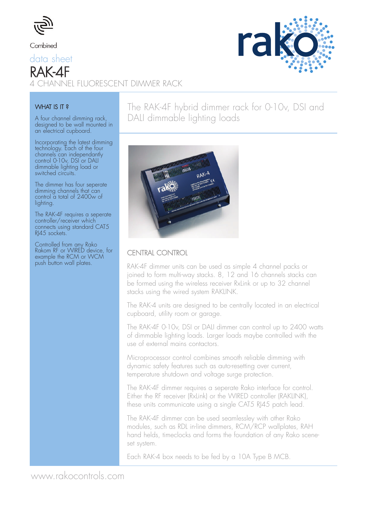

#### Combined

# data sheet RAK-4F<br>4 CHANNEL FLUORESCENT DIMMER RACK



#### WHAT IS IT?

A four channel dimming rack, designed to be wall mounted in an electrical cupboard.

Incorporating the latest dimming technology. Each of the four channels can independantly control 0-10v, DSI or DALI dimmable lighting load or switched circuits.

The dimmer has four seperate dimming channels that can control a total of 2400w of lighting.

The RAK-4F requires a seperate controller/receiver which connects using standard CAT5 RJ45 sockets.

Controlled from any Rako Rakom RF or WIRED device, for example the RCM or WCM push button wall plates.

### The RAK-4F hybrid dimmer rack for 0-10v, DSI and DALI dimmable lighting loads



#### CENTRAL CONTROL

RAK-4F dimmer units can be used as simple 4 channel packs or joined to form multi-way stacks. 8, 12 and 16 channels stacks can be formed using the wireless receiver RxLink or up to 32 channel stacks using the wired system RAKLINK.

The RAK-4 units are designed to be centrally located in an electrical cupboard, utility room or garage.

The RAK-4F 0-10v, DSI or DALI dimmer can control up to 2400 watts of dimmable lighting loads. Larger loads maybe controlled with the use of external mains contactors.

Microprocessor control combines smooth reliable dimming with dynamic safety features such as auto-resetting over current, temperature shutdown and voltage surge protection.

The RAK-4F dimmer requires a seperate Rako interface for control. Either the RF receiver (RxLink) or the WIRED controller (RAKLINK), these units communicate using a single CAT5 RJ45 patch lead.

The RAK-4F dimmer can be used seamlessley with other Rako modules, such as RDL in-line dimmers, RCM/RCP wallplates, RAH hand helds, timeclocks and forms the foundation of any Rako sceneset system.

Each RAK-4 box needs to be fed by a 10A Type B MCB.